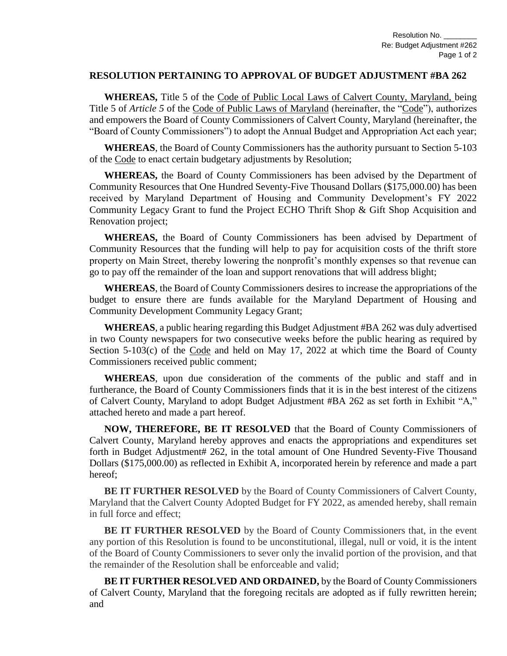## **RESOLUTION PERTAINING TO APPROVAL OF BUDGET ADJUSTMENT #BA 262**

**WHEREAS,** Title 5 of the Code of Public Local Laws of Calvert County, Maryland, being Title 5 of *Article 5* of the Code of Public Laws of Maryland (hereinafter, the "Code"), authorizes and empowers the Board of County Commissioners of Calvert County, Maryland (hereinafter, the "Board of County Commissioners") to adopt the Annual Budget and Appropriation Act each year;

**WHEREAS**, the Board of County Commissioners has the authority pursuant to Section 5-103 of the Code to enact certain budgetary adjustments by Resolution;

**WHEREAS,** the Board of County Commissioners has been advised by the Department of Community Resources that One Hundred Seventy-Five Thousand Dollars (\$175,000.00) has been received by Maryland Department of Housing and Community Development's FY 2022 Community Legacy Grant to fund the Project ECHO Thrift Shop & Gift Shop Acquisition and Renovation project;

**WHEREAS,** the Board of County Commissioners has been advised by Department of Community Resources that the funding will help to pay for acquisition costs of the thrift store property on Main Street, thereby lowering the nonprofit's monthly expenses so that revenue can go to pay off the remainder of the loan and support renovations that will address blight;

**WHEREAS**, the Board of County Commissioners desires to increase the appropriations of the budget to ensure there are funds available for the Maryland Department of Housing and Community Development Community Legacy Grant;

**WHEREAS**, a public hearing regarding this Budget Adjustment #BA 262 was duly advertised in two County newspapers for two consecutive weeks before the public hearing as required by Section  $5-103(c)$  of the Code and held on May 17, 2022 at which time the Board of County Commissioners received public comment;

**WHEREAS**, upon due consideration of the comments of the public and staff and in furtherance, the Board of County Commissioners finds that it is in the best interest of the citizens of Calvert County, Maryland to adopt Budget Adjustment #BA 262 as set forth in Exhibit "A," attached hereto and made a part hereof.

**NOW, THEREFORE, BE IT RESOLVED** that the Board of County Commissioners of Calvert County, Maryland hereby approves and enacts the appropriations and expenditures set forth in Budget Adjustment# 262, in the total amount of One Hundred Seventy-Five Thousand Dollars (\$175,000.00) as reflected in Exhibit A, incorporated herein by reference and made a part hereof;

**BE IT FURTHER RESOLVED** by the Board of County Commissioners of Calvert County, Maryland that the Calvert County Adopted Budget for FY 2022, as amended hereby, shall remain in full force and effect;

**BE IT FURTHER RESOLVED** by the Board of County Commissioners that, in the event any portion of this Resolution is found to be unconstitutional, illegal, null or void, it is the intent of the Board of County Commissioners to sever only the invalid portion of the provision, and that the remainder of the Resolution shall be enforceable and valid;

**BE IT FURTHER RESOLVED AND ORDAINED,** by the Board of County Commissioners of Calvert County, Maryland that the foregoing recitals are adopted as if fully rewritten herein; and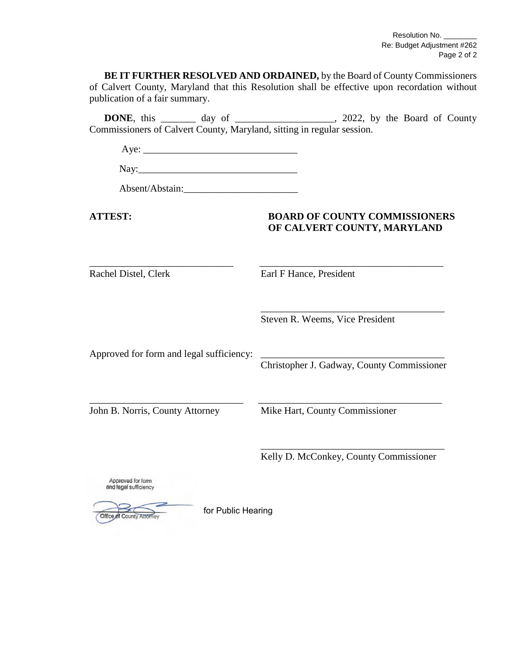Resolution No. \_ Re: Budget Adjustment #262 Page 2 of 2

**BE IT FURTHER RESOLVED AND ORDAINED,** by the Board of County Commissioners of Calvert County, Maryland that this Resolution shall be effective upon recordation without publication of a fair summary.

**DONE**, this \_\_\_\_\_\_\_ day of \_\_\_\_\_\_\_\_\_\_\_\_\_\_\_\_, 2022, by the Board of County Commissioners of Calvert County, Maryland, sitting in regular session.

 $Aye:$ 

Nay:

Absent/Abstain:

## **ATTEST: BOARD OF COUNTY COMMISSIONERS OF CALVERT COUNTY, MARYLAND**

Rachel Distel, Clerk Earl F Hance, President

\_\_\_\_\_\_\_\_\_\_\_\_\_\_\_\_\_\_\_\_\_\_\_\_\_\_\_\_\_ \_\_\_\_\_\_\_\_\_\_\_\_\_\_\_\_\_\_\_\_\_\_\_\_\_\_\_\_\_\_\_\_\_\_\_\_\_

\_\_\_\_\_\_\_\_\_\_\_\_\_\_\_\_\_\_\_\_\_\_\_\_\_\_\_\_\_\_\_ \_\_\_\_\_\_\_\_\_\_\_\_\_\_\_\_\_\_\_\_\_\_\_\_\_\_\_\_\_\_\_\_\_\_\_\_\_

Steven R. Weems, Vice President

Approved for form and legal sufficiency:

Christopher J. Gadway, County Commissioner

\_\_\_\_\_\_\_\_\_\_\_\_\_\_\_\_\_\_\_\_\_\_\_\_\_\_\_\_\_\_\_\_\_\_\_\_\_

John B. Norris, County Attorney Mike Hart, County Commissioner

\_\_\_\_\_\_\_\_\_\_\_\_\_\_\_\_\_\_\_\_\_\_\_\_\_\_\_\_\_\_\_\_\_\_\_\_\_ Kelly D. McConkey, County Commissioner

Approved for form and legal sufficiency

Office of County Attorney

for Public Hearing